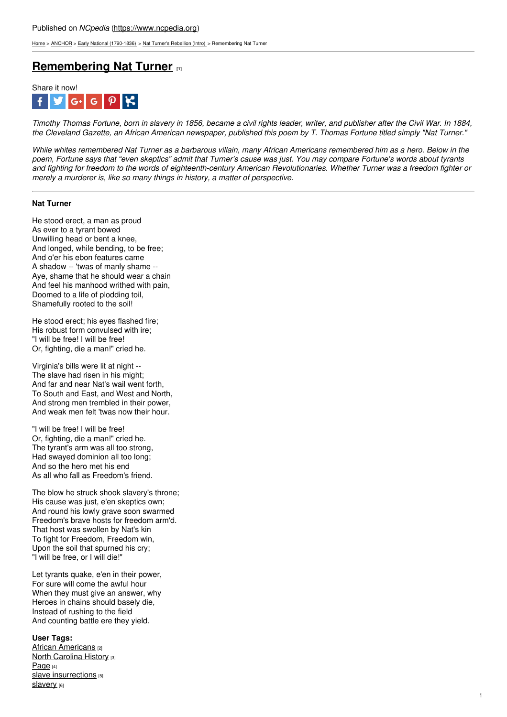[Home](https://www.ncpedia.org/) > [ANCHOR](https://www.ncpedia.org/anchor/anchor) > Early National [\(1790-1836\)](https://www.ncpedia.org/anchor/early-national-1790-1836) > Nat Turner's [Rebellion](https://www.ncpedia.org/anchor/nat-turners-rebellion-intro) (Intro) > Remembering Nat Turner

## **[Remembering](https://www.ncpedia.org/anchor/remembering-nat-turner) Nat Turner [1]**



Timothy Thomas Fortune, born in slavery in 1856, became a civil rights leader, writer, and publisher after the Civil War. In 1884, the Cleveland Gazette, an African American newspaper, published this poem by T. Thomas Fortune titled simply "Nat Turner."

While whites remembered Nat Turner as a barbarous villain, many African Americans remembered him as a hero. Below in the poem, Fortune says that "even skeptics" admit that Turner's cause was just. You may compare Fortune's words about tyrants and fighting for freedom to the words of eighteenth-century American Revolutionaries. Whether Turner was a freedom fighter or *merely a murderer is, like so many things in history, a matter of perspective.*

## **Nat Turner**

He stood erect, a man as proud As ever to a tyrant bowed Unwilling head or bent a knee, And longed, while bending, to be free; And o'er his ebon features came A shadow -- 'twas of manly shame -- Aye, shame that he should wear a chain And feel his manhood writhed with pain, Doomed to a life of plodding toil, Shamefully rooted to the soil!

He stood erect; his eyes flashed fire; His robust form convulsed with ire; "I will be free! I will be free! Or, fighting, die a man!" cried he.

Virginia's bills were lit at night -- The slave had risen in his might; And far and near Nat's wail went forth, To South and East, and West and North, And strong men trembled in their power, And weak men felt 'twas now their hour.

"I will be free! I will be free! Or, fighting, die a man!" cried he. The tyrant's arm was all too strong, Had swayed dominion all too long; And so the hero met his end As all who fall as Freedom's friend.

The blow he struck shook slavery's throne; His cause was just, e'en skeptics own; And round his lowly grave soon swarmed Freedom's brave hosts for freedom arm'd. That host was swollen by Nat's kin To fight for Freedom, Freedom win, Upon the soil that spurned his cry; "I will be free, or I will die!"

Let tyrants quake, e'en in their power, For sure will come the awful hour When they must give an answer, why Heroes in chains should basely die, Instead of rushing to the field And counting battle ere they yield.

## **User Tags:**

African [Americans](https://www.ncpedia.org/category/user-tags/african-american) [2] **North [Carolina](https://www.ncpedia.org/category/user-tags/north-carolina-6) History [3]** [Page](https://www.ncpedia.org/category/user-tags/page) [4] slave [insurrections](https://www.ncpedia.org/category/user-tags/slave) [5] **[slavery](https://www.ncpedia.org/category/user-tags/slavery)** [6]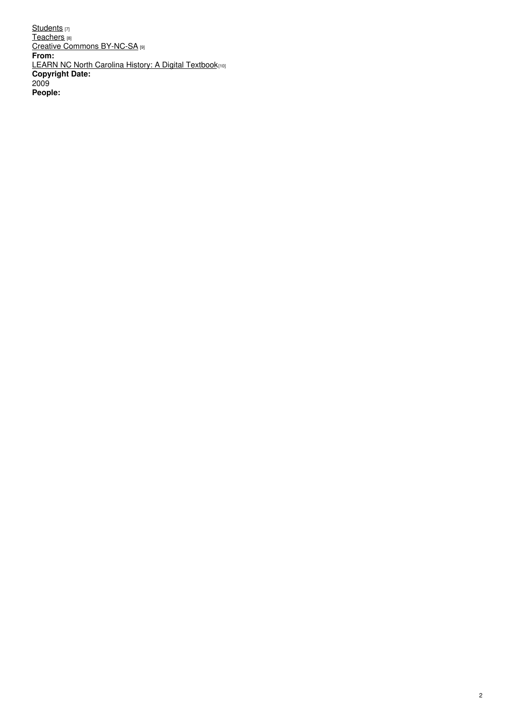r<sub>1 S</sub>tudents [7 <u>[Teachers](https://www.ncpedia.org/category/user-tags/teachers)</u> <sub>[8]</sub> Creative Commons [BY-NC-SA](https://www.ncpedia.org/category/user-tags/creative-commons) [9] **From:** LEARN NC North Carolina History: A Digital [Textbook](https://www.ncpedia.org/category/entry-source/learn-nc)[10] **Copyright Date:** 2009 **People:**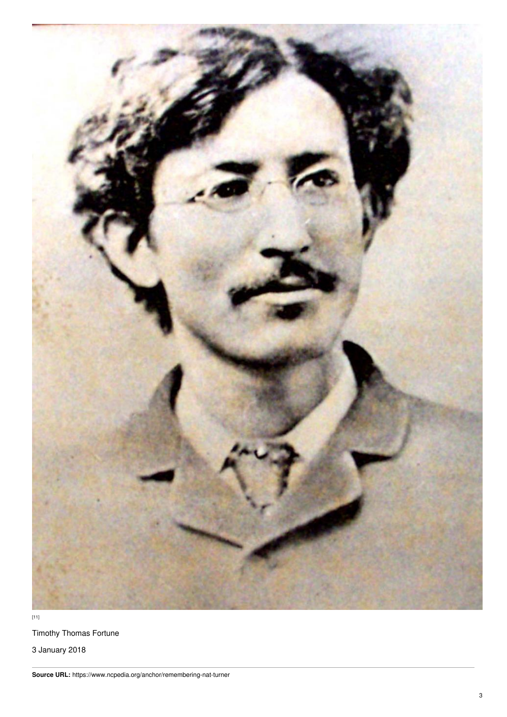

[11]

Timothy Thomas Fortune

3 January 2018